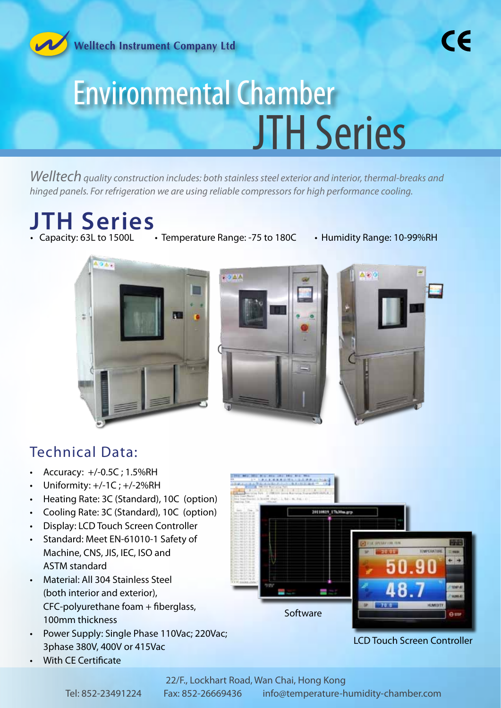

*Welltech quality construction includes: both stainless steel exterior and interior, thermal-breaks and hinged panels. For refrigeration we are using reliable compressors for high performance cooling.*

# **JTH Series**

- Temperature Range: -75 to 180C Humidity Range: 10-99%RH
	-







### Technical Data:

- Accuracy: +/-0.5C ; 1.5%RH
- Uniformity: +/-1C ; +/-2%RH
- Heating Rate: 3C (Standard), 10C (option)
- Cooling Rate: 3C (Standard), 10C (option)
- Display: LCD Touch Screen Controller
- Standard: Meet EN-61010-1 Safety of Machine, CNS, JIS, IEC, ISO and ASTM standard
- Material: All 304 Stainless Steel (both interior and exterior), CFC-polyurethane foam + fiberglass, 100mm thickness
- Power Supply: Single Phase 110Vac; 220Vac; 3phase 380V, 400V or 415Vac
- With CE Certificate



LCD Touch Screen Controller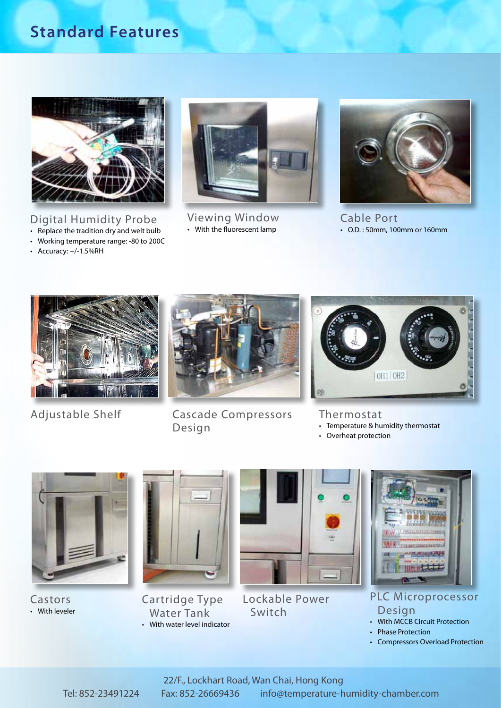### **Standard Features**



Digital Humidity Probe

- Replace the tradition dry and welt bulb • Working temperature range: -80 to 200C
- Accuracy: +/-1.5%RH



Viewing Window • With the fluorescent lamp



Cable Port • O.D. : 50mm, 100mm or 160mm





Adjustable Shelf Cascade Compressors Design



### Thermostat

- Temperature & humidity thermostat
- Overheat protection



Castors • With leveler



Cartridge Type Water Tank • With water level indicator



Lockable Power Switch



PLC Microprocessor Design

- With MCCB Circuit Protection
	- Phase Protection
- Compressors Overload Protection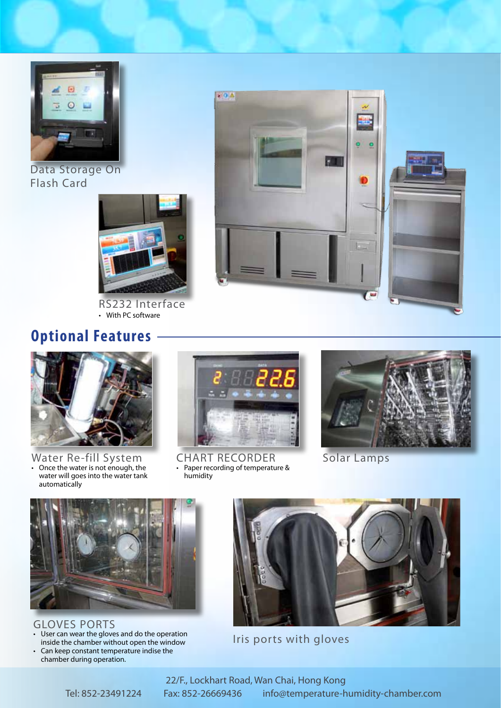

Data Storage On Flash Card



RS232 Interface • With PC software



## **Optional Features**



Water Re-fill System • Once the water is not enough, the water will goes into the water tank automatically



CHART RECORDER Solar Lamps<br>• Paper recording of temperature & humidity





GLOVES PORTS

- User can wear the gloves and do the operation inside the chamber without open the window • Can keep constant temperature indise the
- chamber during operation.



Iris ports with gloves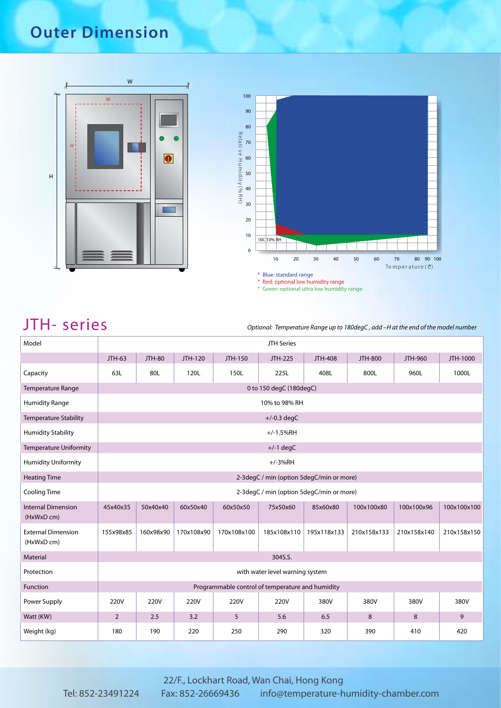# **Outer Dimension**





JTH - Series *S* 

| Model                                   | <b>JTH Series</b>                                |               |            |             |                                          |                |                |             |             |  |
|-----------------------------------------|--------------------------------------------------|---------------|------------|-------------|------------------------------------------|----------------|----------------|-------------|-------------|--|
|                                         | JTH-63                                           | <b>JTH-80</b> | JTH-120    | JTH-150     | JTH-225                                  | <b>JTH-408</b> | <b>JTH-800</b> | JTH-960     | JTH-1000    |  |
| Capacity                                | 63L                                              | 80L           | 120L       | 150L        | 225L                                     | 408L           | 800L           | 960L        | 1000L       |  |
| <b>Temperature Range</b>                | 0 to 150 degC (180degC)                          |               |            |             |                                          |                |                |             |             |  |
| <b>Humidity Range</b>                   | 10% to 98% RH                                    |               |            |             |                                          |                |                |             |             |  |
| <b>Temperature Stability</b>            |                                                  |               |            |             | $+/-0.3$ degC                            |                |                |             |             |  |
| <b>Humidity Stability</b>               |                                                  | $+/-1.5%RH$   |            |             |                                          |                |                |             |             |  |
| Temperature Uniformity                  |                                                  |               |            |             | $+/-1$ degC                              |                |                |             |             |  |
| <b>Humidity Uniformity</b>              | $+/-3%RH$                                        |               |            |             |                                          |                |                |             |             |  |
| <b>Heating Time</b>                     | 2-3degC / min (option 5degC/min or more)         |               |            |             |                                          |                |                |             |             |  |
| <b>Cooling Time</b>                     |                                                  |               |            |             | 2-3degC / min (option 5degC/min or more) |                |                |             |             |  |
| <b>Internal Dimension</b><br>(HxWxD cm) | 45x40x35                                         | 50x40x40      | 60x50x40   | 60x50x50    | 75x50x60                                 | 85x60x80       | 100x100x80     | 100x100x96  | 100x100x100 |  |
| <b>External Dimension</b><br>(HxWxD cm) | 155x98x85                                        | 160x98x90     | 170x108x90 | 170x108x100 | 185x108x110                              | 195x118x133    | 210x158x133    | 210x158x140 | 210x158x150 |  |
| Material                                | 304S.S.                                          |               |            |             |                                          |                |                |             |             |  |
| Protection                              | with water level warning system                  |               |            |             |                                          |                |                |             |             |  |
| Function                                | Programmable control of temperature and humidity |               |            |             |                                          |                |                |             |             |  |
| Power Supply                            | 220V                                             | 220V          | 220V       | 220V        | 220V                                     | 380V           | 380V           | 380V        | 380V        |  |
| Watt (KW)                               | $\overline{2}$                                   | 2.5           | 3.2        | 5           | 5.6                                      | 6.5            | 8              | 8           | 9           |  |
| Weight (kg)                             | 180                                              | 190           | 220        | 250         | 290                                      | 320            | 390            | 410         | 420         |  |

### 22/F., Lockhart Road, Wan Chai, Hong Kong Tel: 852-23491224 Fax: 852-26669436 info@temperature-humidity-chamber.com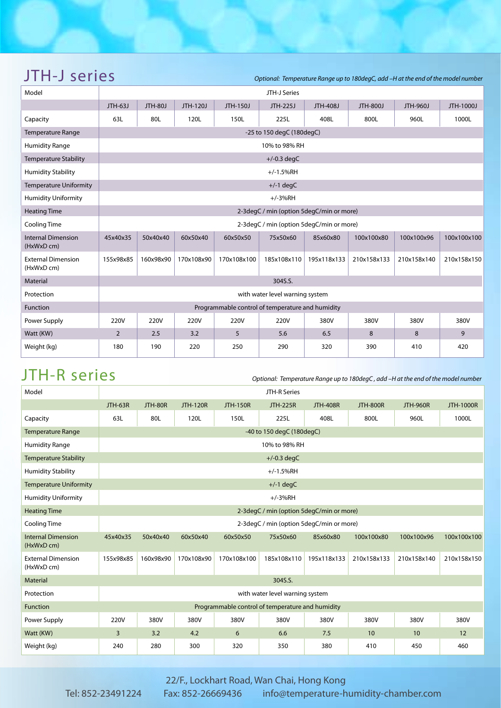| Model                                   | JTH-J Series                                     |                |            |             |                                          |             |                 |             |             |  |  |
|-----------------------------------------|--------------------------------------------------|----------------|------------|-------------|------------------------------------------|-------------|-----------------|-------------|-------------|--|--|
|                                         | JTH-63J                                          | <b>JTH-80J</b> | JTH-120J   | JTH-150J    | JTH-225J                                 | JTH-408J    | <b>JTH-800J</b> | JTH-960J    | JTH-1000J   |  |  |
| Capacity                                | 63L                                              | 80L            | 120L       | 150L        | 225L                                     | 408L        | 800L            | 960L        | 1000L       |  |  |
| <b>Temperature Range</b>                | -25 to 150 degC (180degC)                        |                |            |             |                                          |             |                 |             |             |  |  |
| <b>Humidity Range</b>                   |                                                  | 10% to 98% RH  |            |             |                                          |             |                 |             |             |  |  |
| <b>Temperature Stability</b>            |                                                  |                |            |             | $+/-0.3$ degC                            |             |                 |             |             |  |  |
| <b>Humidity Stability</b>               |                                                  |                |            |             | $+/-1.5%$ RH                             |             |                 |             |             |  |  |
| <b>Temperature Uniformity</b>           |                                                  |                |            |             | $+/-1$ degC                              |             |                 |             |             |  |  |
| <b>Humidity Uniformity</b>              |                                                  |                |            |             | $+/-3%RH$                                |             |                 |             |             |  |  |
| <b>Heating Time</b>                     |                                                  |                |            |             | 2-3degC / min (option 5degC/min or more) |             |                 |             |             |  |  |
| Cooling Time                            |                                                  |                |            |             | 2-3degC / min (option 5degC/min or more) |             |                 |             |             |  |  |
| <b>Internal Dimension</b><br>(HxWxD cm) | 45x40x35                                         | 50x40x40       | 60x50x40   | 60x50x50    | 75x50x60                                 | 85x60x80    | 100x100x80      | 100x100x96  | 100x100x100 |  |  |
| <b>External Dimension</b><br>(HxWxD cm) | 155x98x85                                        | 160x98x90      | 170x108x90 | 170x108x100 | 185x108x110                              | 195x118x133 | 210x158x133     | 210x158x140 | 210x158x150 |  |  |
| Material                                | 304S.S.                                          |                |            |             |                                          |             |                 |             |             |  |  |
| Protection                              | with water level warning system                  |                |            |             |                                          |             |                 |             |             |  |  |
| Function                                | Programmable control of temperature and humidity |                |            |             |                                          |             |                 |             |             |  |  |
| Power Supply                            | 220V                                             | 220V           | 220V       | 220V        | 220V                                     | 380V        | 380V            | 380V        | 380V        |  |  |
| Watt (KW)                               | 2                                                | 2.5            | 3.2        | 5           | 5.6                                      | 6.5         | 8               | 8           | 9           |  |  |
| Weight (kg)                             | 180                                              | 190            | 220        | 250         | 290                                      | 320         | 390             | 410         | 420         |  |  |

JTH-J Series *Series DE* 

JTH-R Series *Series Optional: Temperature Range up to 180degC*, add –H at the end of the model number

| Model                                   | JTH-R Series                                     |           |                 |                 |                                          |                 |                 |                 |                  |  |
|-----------------------------------------|--------------------------------------------------|-----------|-----------------|-----------------|------------------------------------------|-----------------|-----------------|-----------------|------------------|--|
|                                         | JTH-63R                                          | JTH-80R   | <b>JTH-120R</b> | <b>JTH-150R</b> | <b>JTH-225R</b>                          | <b>JTH-408R</b> | <b>JTH-800R</b> | <b>JTH-960R</b> | <b>JTH-1000R</b> |  |
| Capacity                                | 63L                                              | 80L       | 120L            | 150L            | 225L                                     | 408L            | 800L            | 960L            | 1000L            |  |
| <b>Temperature Range</b>                | -40 to 150 degC (180degC)                        |           |                 |                 |                                          |                 |                 |                 |                  |  |
| <b>Humidity Range</b>                   | 10% to 98% RH                                    |           |                 |                 |                                          |                 |                 |                 |                  |  |
| <b>Temperature Stability</b>            |                                                  |           |                 |                 | $+/-0.3$ degC                            |                 |                 |                 |                  |  |
| <b>Humidity Stability</b>               | $+/-1.5%RH$                                      |           |                 |                 |                                          |                 |                 |                 |                  |  |
| <b>Temperature Uniformity</b>           | $+/-1$ degC                                      |           |                 |                 |                                          |                 |                 |                 |                  |  |
| <b>Humidity Uniformity</b>              | $+/-3%RH$                                        |           |                 |                 |                                          |                 |                 |                 |                  |  |
| <b>Heating Time</b>                     | 2-3degC / min (option 5degC/min or more)         |           |                 |                 |                                          |                 |                 |                 |                  |  |
| <b>Cooling Time</b>                     |                                                  |           |                 |                 | 2-3degC / min (option 5degC/min or more) |                 |                 |                 |                  |  |
| <b>Internal Dimension</b><br>(HxWxD cm) | 45x40x35                                         | 50x40x40  | 60x50x40        | 60x50x50        | 75x50x60                                 | 85x60x80        | 100x100x80      | 100x100x96      | 100x100x100      |  |
| <b>External Dimension</b><br>(HxWxD cm) | 155x98x85                                        | 160x98x90 | 170x108x90      | 170x108x100     | 185x108x110                              | 195x118x133     | 210x158x133     | 210x158x140     | 210x158x150      |  |
| Material                                |                                                  |           |                 |                 | 304S.S.                                  |                 |                 |                 |                  |  |
| Protection                              | with water level warning system                  |           |                 |                 |                                          |                 |                 |                 |                  |  |
| Function                                | Programmable control of temperature and humidity |           |                 |                 |                                          |                 |                 |                 |                  |  |
| Power Supply                            | 220V                                             | 380V      | 380V            | 380V            | 380V                                     | 380V            | 380V            | 380V            | 380V             |  |
| Watt (KW)                               | 3                                                | 3.2       | 4.2             | 6               | 6.6                                      | 7.5             | 10              | 10              | 12               |  |
| Weight (kg)                             | 240                                              | 280       | 300             | 320             | 350                                      | 380             | 410             | 450             | 460              |  |

22/F., Lockhart Road, Wan Chai, Hong Kong Tel: 852-23491224 Fax: 852-26669436 info@temperature-humidity-chamber.com